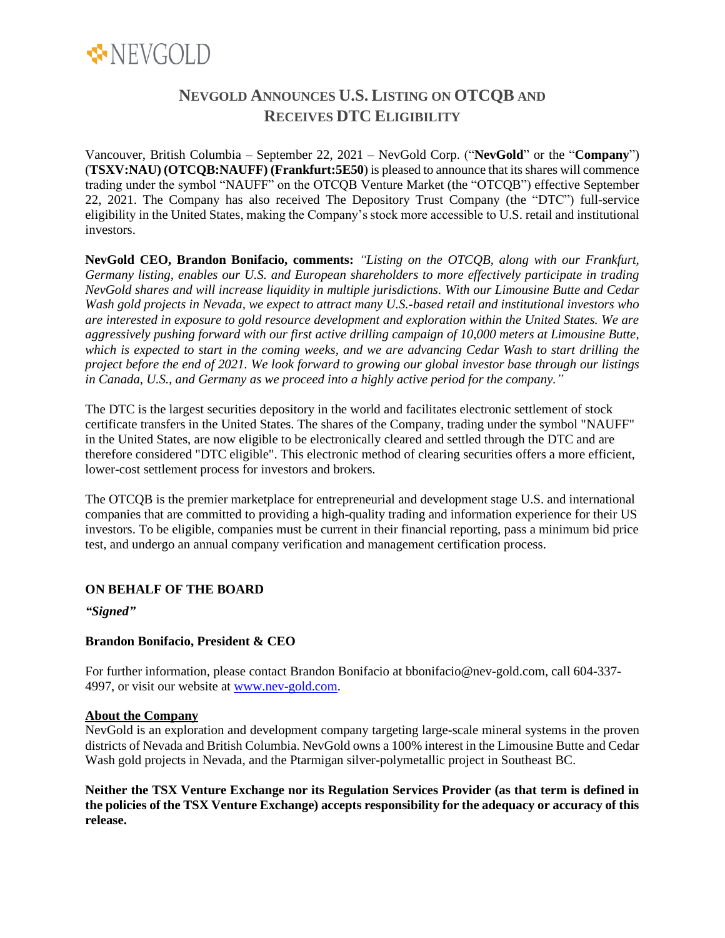

# **NEVGOLD ANNOUNCES U.S. LISTING ON OTCQB AND RECEIVES DTC ELIGIBILITY**

Vancouver, British Columbia – September 22, 2021 – NevGold Corp. ("**NevGold**" or the "**Company**") (**TSXV:NAU) (OTCQB:NAUFF) (Frankfurt:5E50**) is pleased to announce that its shares will commence trading under the symbol "NAUFF" on the OTCQB Venture Market (the "OTCQB") effective September 22, 2021. The Company has also received The Depository Trust Company (the "DTC") full-service eligibility in the United States, making the Company's stock more accessible to U.S. retail and institutional investors.

**NevGold CEO, Brandon Bonifacio, comments:** *"Listing on the OTCQB, along with our Frankfurt, Germany listing, enables our U.S. and European shareholders to more effectively participate in trading NevGold shares and will increase liquidity in multiple jurisdictions. With our Limousine Butte and Cedar Wash gold projects in Nevada, we expect to attract many U.S.-based retail and institutional investors who are interested in exposure to gold resource development and exploration within the United States. We are aggressively pushing forward with our first active drilling campaign of 10,000 meters at Limousine Butte, which is expected to start in the coming weeks, and we are advancing Cedar Wash to start drilling the project before the end of 2021. We look forward to growing our global investor base through our listings in Canada, U.S., and Germany as we proceed into a highly active period for the company."*

The DTC is the largest securities depository in the world and facilitates electronic settlement of stock certificate transfers in the United States. The shares of the Company, trading under the symbol "NAUFF" in the United States, are now eligible to be electronically cleared and settled through the DTC and are therefore considered "DTC eligible". This electronic method of clearing securities offers a more efficient, lower-cost settlement process for investors and brokers.

The OTCQB is the premier marketplace for entrepreneurial and development stage U.S. and international companies that are committed to providing a high-quality trading and information experience for their US investors. To be eligible, companies must be current in their financial reporting, pass a minimum bid price test, and undergo an annual company verification and management certification process.

## **ON BEHALF OF THE BOARD**

*"Signed"*

## **Brandon Bonifacio, President & CEO**

For further information, please contact Brandon Bonifacio at bbonifacio@nev-gold.com, call 604-337- 4997, or visit our website at [www.nev-gold.com.](http://www.nev-gold.com/)

#### **About the Company**

NevGold is an exploration and development company targeting large-scale mineral systems in the proven districts of Nevada and British Columbia. NevGold owns a 100% interest in the Limousine Butte and Cedar Wash gold projects in Nevada, and the Ptarmigan silver-polymetallic project in Southeast BC.

**Neither the TSX Venture Exchange nor its Regulation Services Provider (as that term is defined in the policies of the TSX Venture Exchange) accepts responsibility for the adequacy or accuracy of this release.**